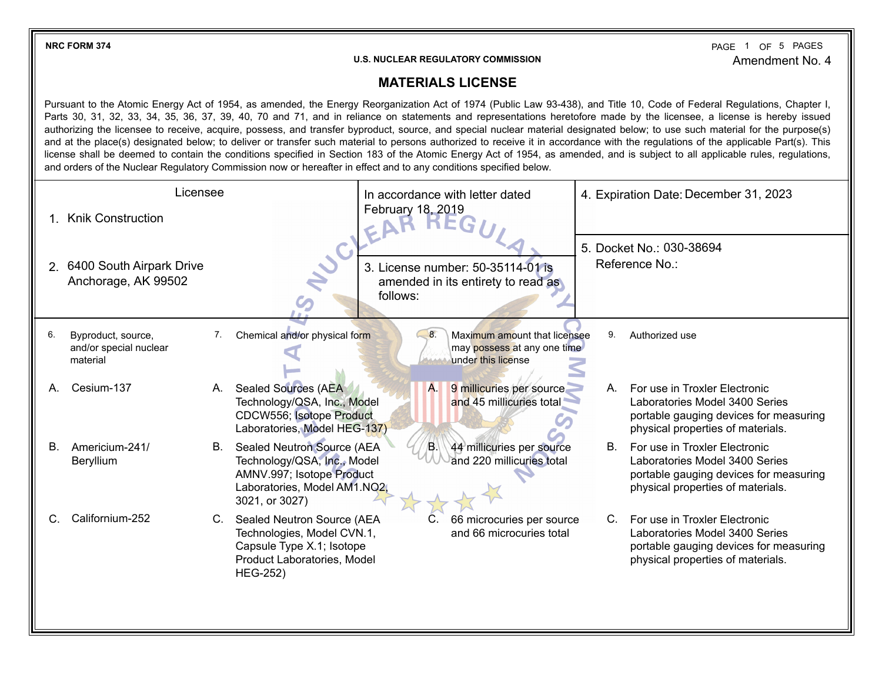**NRC FORM 374** PAGE 1 OF 5 Amendment No. 4 PAGE 1 OF 5 PAGES

## **U.S. NUCLEAR REGULATORY COMMISSION**

## **MATERIALS LICENSE**

Pursuant to the Atomic Energy Act of 1954, as amended, the Energy Reorganization Act of 1974 (Public Law 93-438), and Title 10, Code of Federal Regulations, Chapter I, Parts 30, 31, 32, 33, 34, 35, 36, 37, 39, 40, 70 and 71, and in reliance on statements and representations heretofore made by the licensee, a license is hereby issued authorizing the licensee to receive, acquire, possess, and transfer byproduct, source, and special nuclear material designated below; to use such material for the purpose(s) and at the place(s) designated below; to deliver or transfer such material to persons authorized to receive it in accordance with the regulations of the applicable Part(s). This license shall be deemed to contain the conditions specified in Section 183 of the Atomic Energy Act of 1954, as amended, and is subject to all applicable rules, regulations, and orders of the Nuclear Regulatory Commission now or hereafter in effect and to any conditions specified below.

|    | Licensee                                                 | In accordance with letter dated                                                                                                                                                                                | 4. Expiration Date: December 31, 2023                                                                                                                |  |  |
|----|----------------------------------------------------------|----------------------------------------------------------------------------------------------------------------------------------------------------------------------------------------------------------------|------------------------------------------------------------------------------------------------------------------------------------------------------|--|--|
|    | <b>Knik Construction</b>                                 | February 18, 2019                                                                                                                                                                                              |                                                                                                                                                      |  |  |
|    | 2. 6400 South Airpark Drive<br>Anchorage, AK 99502       | NUC!<br>3. License number: 50-35114-01 is<br>amended in its entirety to read as<br>follows:                                                                                                                    | 5. Docket No.: 030-38694<br>Reference No.:                                                                                                           |  |  |
| 6. | Byproduct, source,<br>and/or special nuclear<br>material | Chemical and/or physical form<br>8.<br>Maximum amount that licensee<br>7.<br>may possess at any one time<br>under this license                                                                                 | 9.<br>Authorized use                                                                                                                                 |  |  |
| А. | Cesium-137                                               | <b>Sealed Sources (AEA)</b><br>A.<br>9 millicuries per source<br>А.<br>and 45 millicuries total<br>Technology/QSA, Inc., Model<br>CDCW556; Isotope Product<br>Laboratories, Model HEG-137)                     | For use in Troxler Electronic<br>А.<br>Laboratories Model 3400 Series<br>portable gauging devices for measuring<br>physical properties of materials. |  |  |
| В. | Americium-241/<br>Beryllium                              | Sealed Neutron Source (AEA<br>44 millicuries per source<br>В.<br>Æ.<br>Technology/QSA, Inc., Model<br>and 220 millicuries total<br>AMNV.997; Isotope Product<br>Laboratories, Model AM1.NO2,<br>3021, or 3027) | For use in Troxler Electronic<br>В.<br>Laboratories Model 3400 Series<br>portable gauging devices for measuring<br>physical properties of materials. |  |  |
|    | Californium-252                                          | Sealed Neutron Source (AEA<br>C.<br>66 microcuries per source<br>C.<br>Technologies, Model CVN.1,<br>and 66 microcuries total<br>Capsule Type X.1; Isotope<br>Product Laboratories, Model<br><b>HEG-252)</b>   | C. For use in Troxler Electronic<br>Laboratories Model 3400 Series<br>portable gauging devices for measuring<br>physical properties of materials.    |  |  |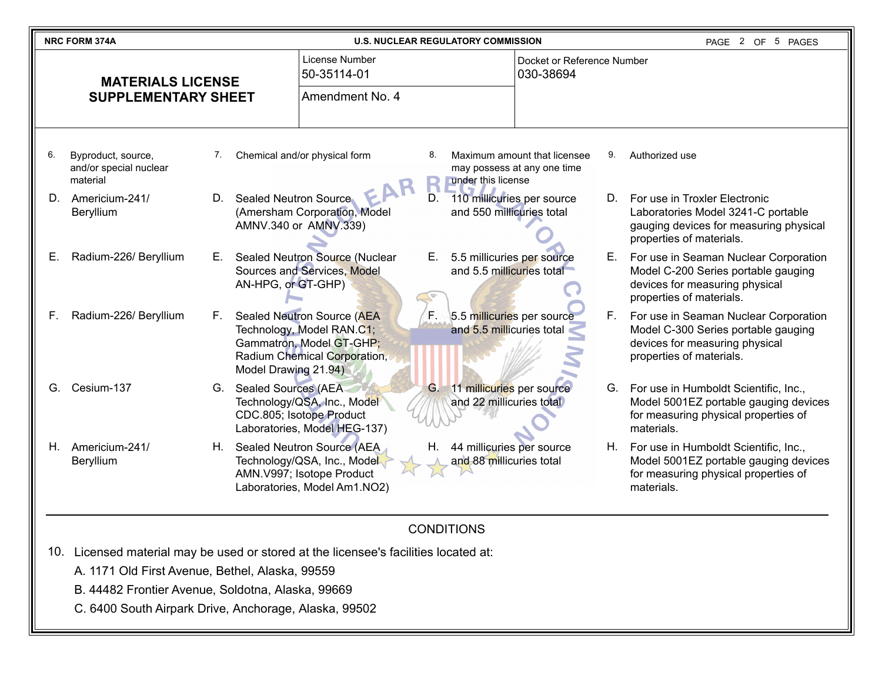| <b>NRC FORM 374A</b>     |                                                          |    | <b>U.S. NUCLEAR REGULATORY COMMISSION</b> |                                                                                                                           |                                         |                                                         | 2 OF 5 PAGES<br>PAGE                                        |    |                                                                                                                                            |
|--------------------------|----------------------------------------------------------|----|-------------------------------------------|---------------------------------------------------------------------------------------------------------------------------|-----------------------------------------|---------------------------------------------------------|-------------------------------------------------------------|----|--------------------------------------------------------------------------------------------------------------------------------------------|
| <b>MATERIALS LICENSE</b> |                                                          |    | License Number<br>50-35114-01             |                                                                                                                           | Docket or Reference Number<br>030-38694 |                                                         |                                                             |    |                                                                                                                                            |
|                          | <b>SUPPLEMENTARY SHEET</b>                               |    |                                           | Amendment No. 4                                                                                                           |                                         |                                                         |                                                             |    |                                                                                                                                            |
| 6.                       | Byproduct, source,<br>and/or special nuclear<br>material | 7. |                                           | Chemical and/or physical form                                                                                             | 8.                                      | under this license                                      | Maximum amount that licensee<br>may possess at any one time | 9. | Authorized use                                                                                                                             |
| D.                       | Americium-241/<br>Beryllium                              | D. | Sealed Neutron Source                     | (Amersham Corporation, Model<br>AMNV.340 or AMNV.339)                                                                     | D.                                      | 110 millicuries per source<br>and 550 millicuries total |                                                             | D. | For use in Troxler Electronic<br>Laboratories Model 3241-C portable<br>gauging devices for measuring physical<br>properties of materials.  |
| Е.                       | Radium-226/ Beryllium                                    | Е. | AN-HPG, or GT-GHP)                        | Sealed Neutron Source (Nuclear<br>Sources and Services, Model                                                             | Е.                                      | 5.5 millicuries per source<br>and 5.5 millicuries total |                                                             | Е. | For use in Seaman Nuclear Corporation<br>Model C-200 Series portable gauging<br>devices for measuring physical<br>properties of materials. |
| F.                       | Radium-226/ Beryllium                                    | F. | Model Drawing 21.94)                      | Sealed Neutron Source (AEA<br>Technology, Model RAN.C1;<br>Gammatron, Model GT-GHP;<br>Radium Chemical Corporation,       | ìĘ.                                     | 5.5 millicuries per source<br>and 5.5 millicuries total |                                                             | F. | For use in Seaman Nuclear Corporation<br>Model C-300 Series portable gauging<br>devices for measuring physical<br>properties of materials. |
| G.                       | Cesium-137                                               |    | G. Sealed Sources (AEA                    | Technology/QSA, Inc., Model<br>CDC.805; Isotope Product<br>Laboratories, Model HEG-137)                                   | G.                                      | 11 millicuries per source<br>and 22 millicuries total   |                                                             |    | G. For use in Humboldt Scientific, Inc.,<br>Model 5001EZ portable gauging devices<br>for measuring physical properties of<br>materials.    |
| Н.                       | Americium-241/<br>Beryllium                              |    |                                           | H. Sealed Neutron Source (AEA<br>Technology/QSA, Inc., Model<br>AMN.V997; Isotope Product<br>Laboratories, Model Am1.NO2) |                                         | 44 millicuries per source<br>and 88 millicuries total   |                                                             |    | H. For use in Humboldt Scientific, Inc.,<br>Model 5001EZ portable gauging devices<br>for measuring physical properties of<br>materials.    |

## CONDITIONS

- 10. Licensed material may be used or stored at the licensee's facilities located at:
	- A. 1171 Old First Avenue, Bethel, Alaska, 99559
	- B. 44482 Frontier Avenue, Soldotna, Alaska, 99669
	- C. 6400 South Airpark Drive, Anchorage, Alaska, 99502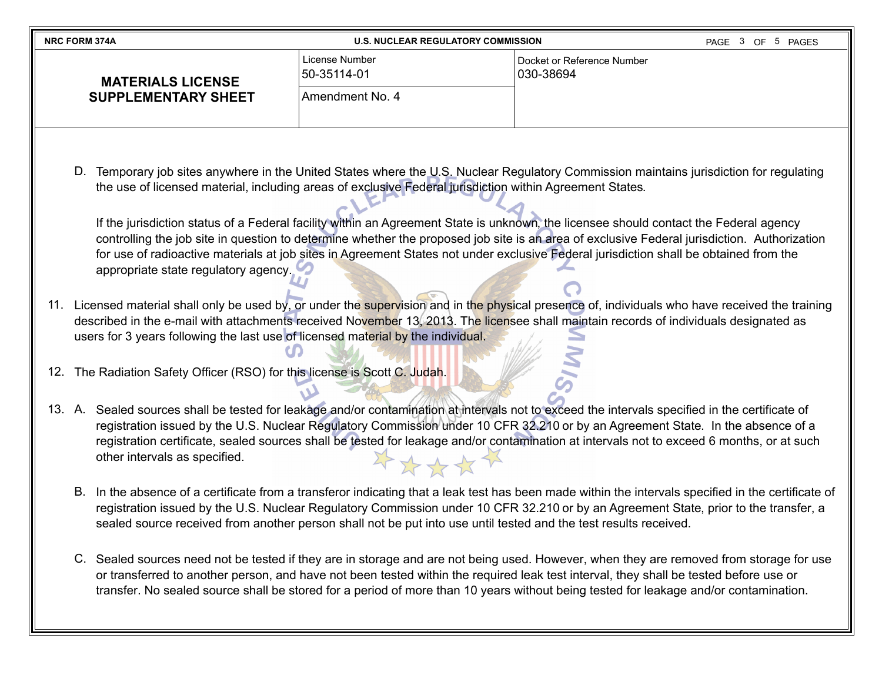| <b>NRC FORM 374A</b>       | <b>U.S. NUCLEAR REGULATORY COMMISSION</b> | PAGE 3 OF 5 PAGES                       |  |
|----------------------------|-------------------------------------------|-----------------------------------------|--|
| <b>MATERIALS LICENSE</b>   | License Number<br>150-35114-01            | Docket or Reference Number<br>030-38694 |  |
| <b>SUPPLEMENTARY SHEET</b> | Amendment No. 4                           |                                         |  |

D. Temporary job sites anywhere in the United States where the U.S. Nuclear Regulatory Commission maintains jurisdiction for regulating the use of licensed material, including areas of exclusive Federal jurisdiction within Agreement States.

If the jurisdiction status of a Federal facility within an Agreement State is unknown, the licensee should contact the Federal agency controlling the job site in question to determine whether the proposed job site is an area of exclusive Federal jurisdiction. Authorization for use of radioactive materials at job sites in Agreement States not under exclusive Federal jurisdiction shall be obtained from the appropriate state regulatory agency.

11. Licensed material shall only be used by, or under the supervision and in the physical presence of, individuals who have received the training described in the e-mail with attachments received November 13, 2013. The licensee shall maintain records of individuals designated as users for 3 years following the last use of licensed material by the individual.

12. The Radiation Safety Officer (RSO) for this license is Scott C. Judah.

- 13. A. Sealed sources shall be tested for leakage and/or contamination at intervals not to exceed the intervals specified in the certificate of registration issued by the U.S. Nuclear Regulatory Commission under 10 CFR 32.210 or by an Agreement State. In the absence of a registration certificate, sealed sources shall be tested for leakage and/or contamination at intervals not to exceed 6 months, or at such other intervals as specified. 外外分女子
	- B. In the absence of a certificate from a transferor indicating that a leak test has been made within the intervals specified in the certificate of registration issued by the U.S. Nuclear Regulatory Commission under 10 CFR 32.210 or by an Agreement State, prior to the transfer, a sealed source received from another person shall not be put into use until tested and the test results received.
	- C. Sealed sources need not be tested if they are in storage and are not being used. However, when they are removed from storage for use or transferred to another person, and have not been tested within the required leak test interval, they shall be tested before use or transfer. No sealed source shall be stored for a period of more than 10 years without being tested for leakage and/or contamination.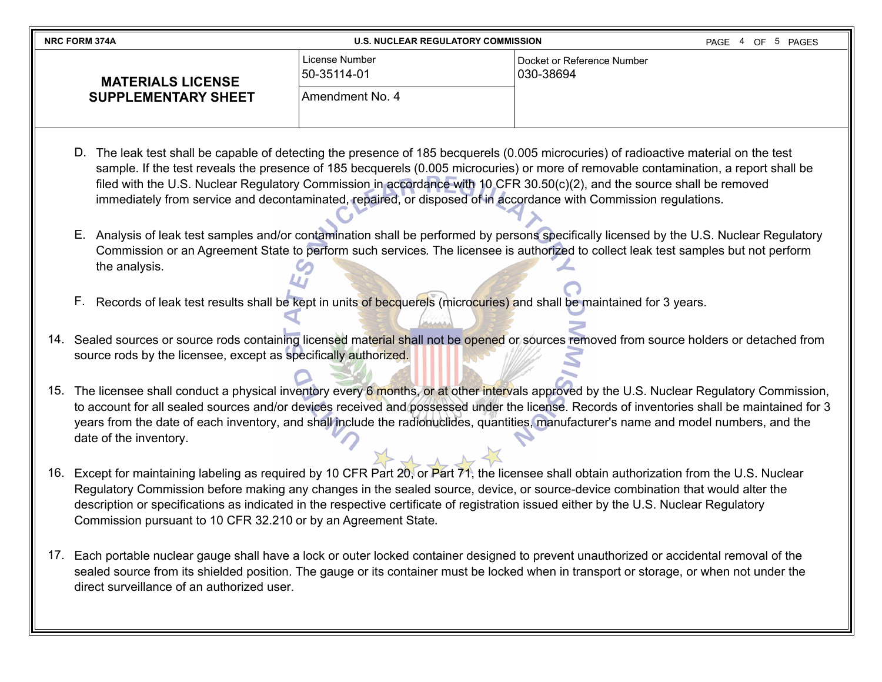| <b>NRC FORM 374A</b>       | <b>U.S. NUCLEAR REGULATORY COMMISSION</b> |                                         |  | PAGE 4 OF 5 PAGES |
|----------------------------|-------------------------------------------|-----------------------------------------|--|-------------------|
| <b>MATERIALS LICENSE</b>   | License Number<br>150-35114-01            | Docket or Reference Number<br>030-38694 |  |                   |
| <b>SUPPLEMENTARY SHEET</b> | Amendment No. 4                           |                                         |  |                   |

- D. The leak test shall be capable of detecting the presence of 185 becquerels (0.005 microcuries) of radioactive material on the test sample. If the test reveals the presence of 185 becquerels (0.005 microcuries) or more of removable contamination, a report shall be filed with the U.S. Nuclear Regulatory Commission in accordance with 10 CFR 30.50(c)(2), and the source shall be removed immediately from service and decontaminated, repaired, or disposed of in accordance with Commission regulations.
- E. Analysis of leak test samples and/or contamination shall be performed by persons specifically licensed by the U.S. Nuclear Regulatory Commission or an Agreement State to perform such services. The licensee is authorized to collect leak test samples but not perform the analysis.
- F. Records of leak test results shall be kept in units of becquerels (microcuries) and shall be maintained for 3 years.
- 14. Sealed sources or source rods containing licensed material shall not be opened or sources removed from source holders or detached from source rods by the licensee, except as specifically authorized.
- 15. The licensee shall conduct a physical inventory every 6 months, or at other intervals approved by the U.S. Nuclear Regulatory Commission, to account for all sealed sources and/or devices received and possessed under the license. Records of inventories shall be maintained for 3 years from the date of each inventory, and shall include the radionuclides, quantities, manufacturer's name and model numbers, and the date of the inventory.
- 16. Except for maintaining labeling as required by 10 CFR Part 20, or Part 71, the licensee shall obtain authorization from the U.S. Nuclear Regulatory Commission before making any changes in the sealed source, device, or source-device combination that would alter the description or specifications as indicated in the respective certificate of registration issued either by the U.S. Nuclear Regulatory Commission pursuant to 10 CFR 32.210 or by an Agreement State.
- 17. Each portable nuclear gauge shall have a lock or outer locked container designed to prevent unauthorized or accidental removal of the sealed source from its shielded position. The gauge or its container must be locked when in transport or storage, or when not under the direct surveillance of an authorized user.